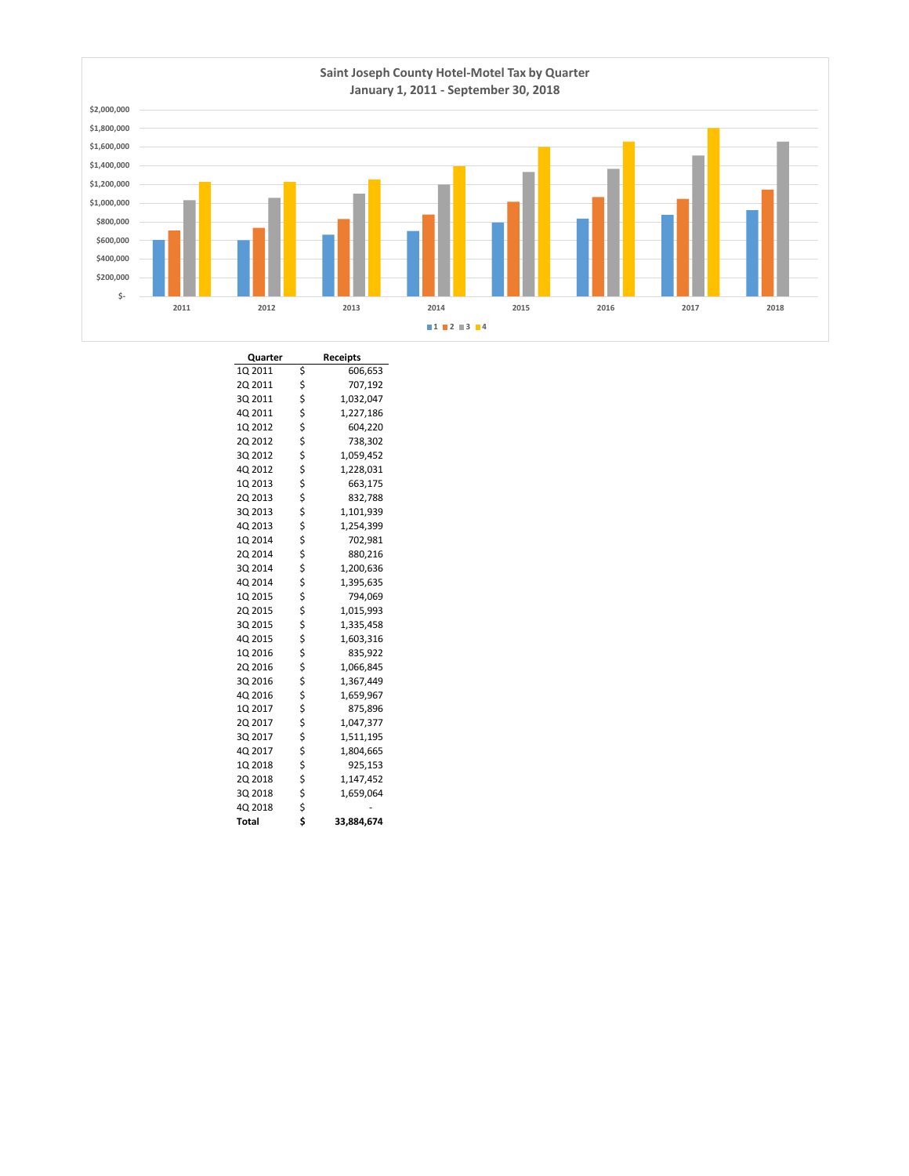

| Quarter | <b>Receipts</b>  |
|---------|------------------|
| 1Q 2011 | \$<br>606,653    |
| 2Q 2011 | \$<br>707,192    |
| 3Q 2011 | \$<br>1,032,047  |
| 4Q 2011 | \$<br>1,227,186  |
| 1Q 2012 | \$<br>604,220    |
| 2Q 2012 | \$<br>738,302    |
| 3Q 2012 | \$<br>1,059,452  |
| 4Q 2012 | \$<br>1,228,031  |
| 1Q 2013 | \$<br>663,175    |
| 20 2013 | \$<br>832,788    |
| 3Q 2013 | \$<br>1,101,939  |
| 4Q 2013 | \$<br>1,254,399  |
| 1Q 2014 | \$<br>702,981    |
| 2Q 2014 | \$<br>880,216    |
| 3Q 2014 | \$<br>1,200,636  |
| 4Q 2014 | \$<br>1,395,635  |
| 1Q 2015 | \$<br>794,069    |
| 2Q 2015 | \$<br>1,015,993  |
| 3Q 2015 | \$<br>1,335,458  |
| 4Q 2015 | \$<br>1,603,316  |
| 1Q 2016 | \$<br>835,922    |
| 2Q 2016 | \$<br>1,066,845  |
| 3Q 2016 | \$<br>1,367,449  |
| 4Q 2016 | \$<br>1,659,967  |
| 1Q 2017 | \$<br>875,896    |
| 2Q 2017 | \$<br>1,047,377  |
| 3Q 2017 | \$<br>1,511,195  |
| 4Q 2017 | \$<br>1,804,665  |
| 1Q 2018 | \$<br>925,153    |
| 2Q 2018 | \$<br>1,147,452  |
| 3Q 2018 | \$<br>1,659,064  |
| 4Q 2018 | \$               |
| Total   | \$<br>33,884,674 |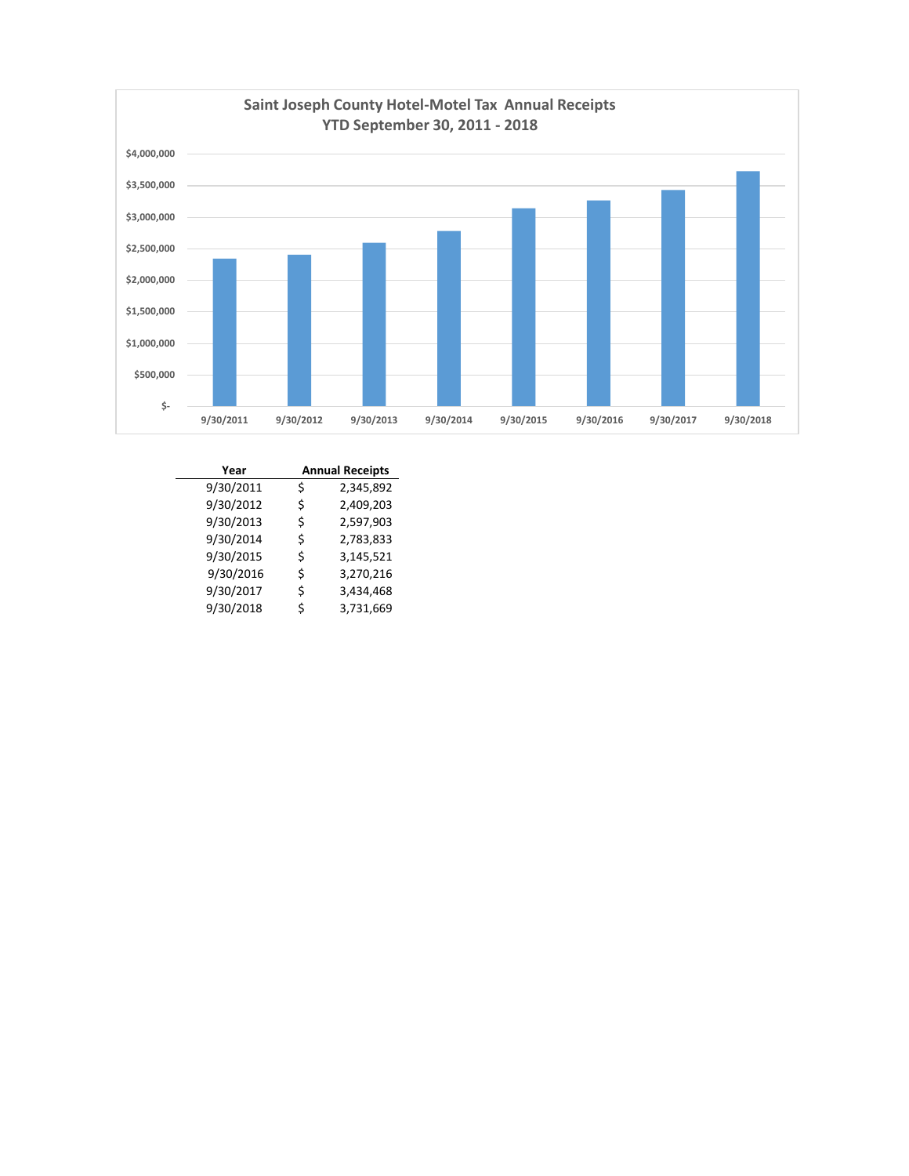

| Year      |    | <b>Annual Receipts</b> |  |  |  |  |  |
|-----------|----|------------------------|--|--|--|--|--|
| 9/30/2011 | Ś  | 2,345,892              |  |  |  |  |  |
| 9/30/2012 | \$ | 2,409,203              |  |  |  |  |  |
| 9/30/2013 | Ś  | 2,597,903              |  |  |  |  |  |
| 9/30/2014 | Ś  | 2,783,833              |  |  |  |  |  |
| 9/30/2015 | \$ | 3,145,521              |  |  |  |  |  |
| 9/30/2016 | \$ | 3,270,216              |  |  |  |  |  |
| 9/30/2017 | \$ | 3,434,468              |  |  |  |  |  |
| 9/30/2018 | Ś  | 3,731,669              |  |  |  |  |  |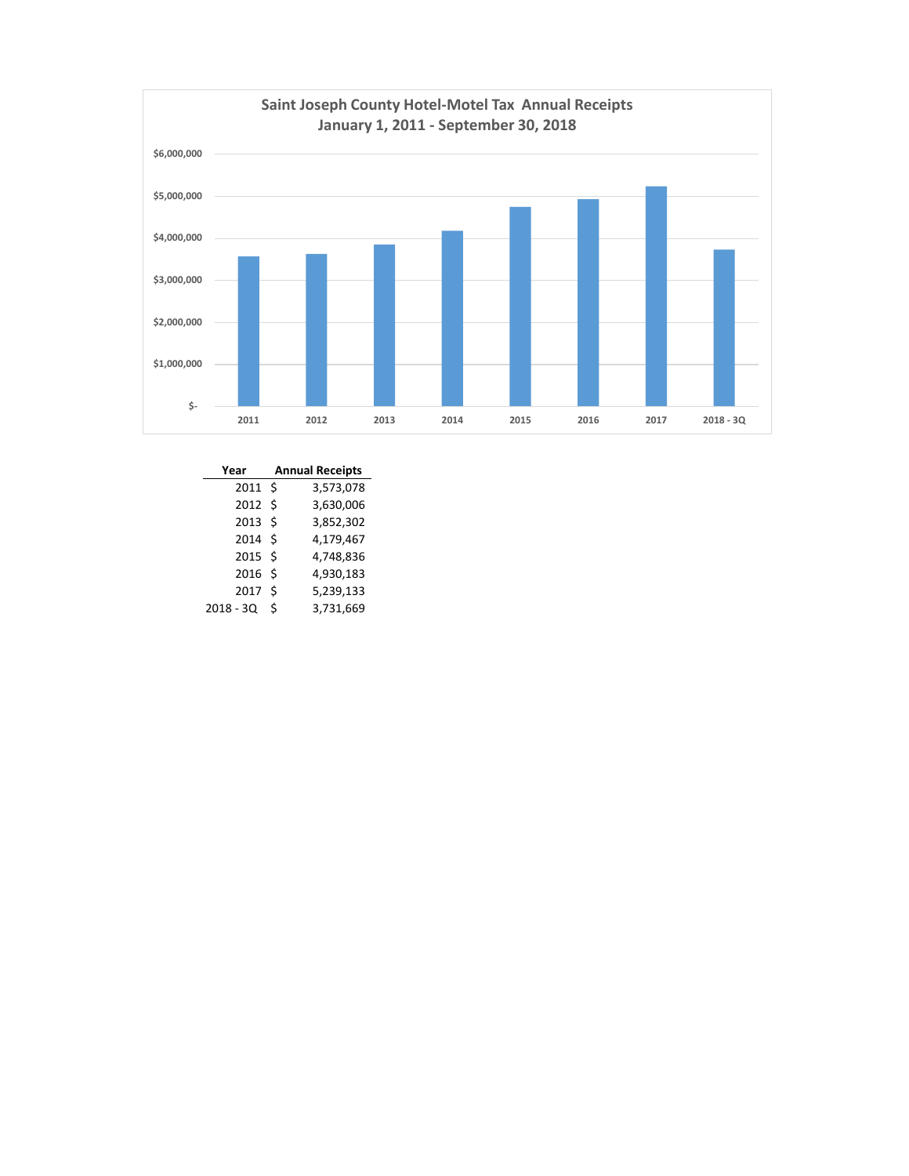

| Year              | <b>Annual Receipts</b> |           |  |  |  |  |  |
|-------------------|------------------------|-----------|--|--|--|--|--|
| 2011S             |                        | 3,573,078 |  |  |  |  |  |
| 2012S             |                        | 3,630,006 |  |  |  |  |  |
| $2013 \;$ \$      |                        | 3,852,302 |  |  |  |  |  |
| 2014S             |                        | 4,179,467 |  |  |  |  |  |
| 2015S             |                        | 4,748,836 |  |  |  |  |  |
| 2016 <sub>5</sub> |                        | 4,930,183 |  |  |  |  |  |
| 2017              | Ś                      | 5,239,133 |  |  |  |  |  |
| $2018 - 3Q$       | Ś                      | 3,731,669 |  |  |  |  |  |